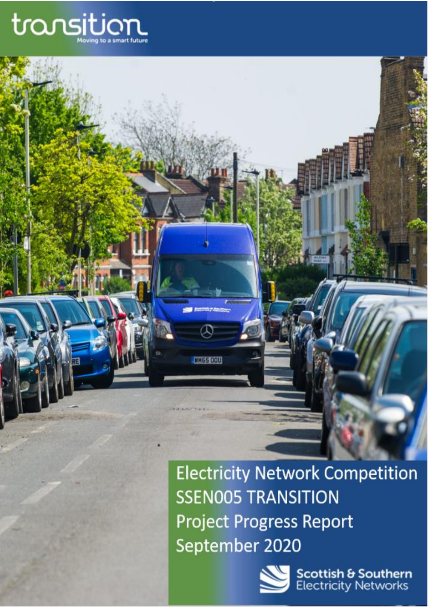

**1) Executive Summary**

**Electricity Network Competition SSEN005 TRANSITION Project Progress Report** September 2020



 $\varpi$ 

**LINES COU** 

**Scottish & Southern**<br>Electricity Networks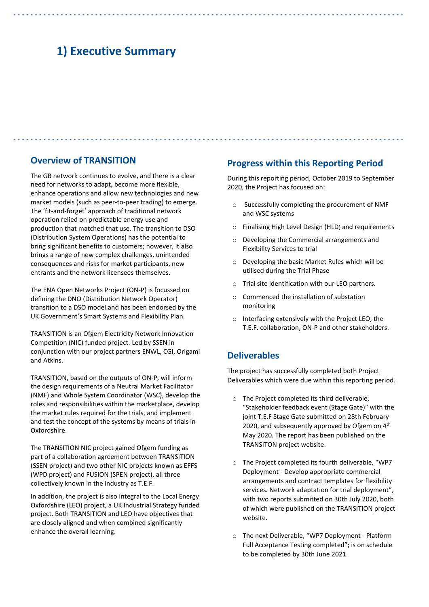## **1) Executive Summary**

### **Overview of TRANSITION**

The GB network continues to evolve, and there is a clear need for networks to adapt, become more flexible, enhance operations and allow new technologies and new market models (such as peer-to-peer trading) to emerge. The 'fit-and-forget' approach of traditional network operation relied on predictable energy use and production that matched that use. The transition to DSO (Distribution System Operations) has the potential to bring significant benefits to customers; however, it also brings a range of new complex challenges, unintended consequences and risks for market participants, new entrants and the network licensees themselves.

The ENA Open Networks Project (ON-P) is focussed on defining the DNO (Distribution Network Operator) transition to a DSO model and has been endorsed by the UK Government's Smart Systems and Flexibility Plan.

TRANSITION is an Ofgem Electricity Network Innovation Competition (NIC) funded project. Led by SSEN in conjunction with our project partners ENWL, CGI, Origami and Atkins.

TRANSITION, based on the outputs of ON-P, will inform the design requirements of a Neutral Market Facilitator (NMF) and Whole System Coordinator (WSC), develop the roles and responsibilities within the marketplace, develop the market rules required for the trials, and implement and test the concept of the systems by means of trials in Oxfordshire.

The TRANSITION NIC project gained Ofgem funding as part of a collaboration agreement between TRANSITION (SSEN project) and two other NIC projects known as EFFS (WPD project) and FUSION (SPEN project), all three collectively known in the industry as T.E.F.

In addition, the project is also integral to the Local Energy Oxfordshire (LEO) project, a UK Industrial Strategy funded project. Both TRANSITION and LEO have objectives that are closely aligned and when combined significantly enhance the overall learning.

### **Progress within this Reporting Period**

During this reporting period, October 2019 to September 2020, the Project has focused on:

- o Successfully completing the procurement of NMF and WSC systems
- o Finalising High Level Design (HLD) and requirements
- o Developing the Commercial arrangements and Flexibility Services to trial
- o Developing the basic Market Rules which will be utilised during the Trial Phase
- o Trial site identification with our LEO partners.
- o Commenced the installation of substation monitoring
- o Interfacing extensively with the Project LEO, the T.E.F. collaboration, ON-P and other stakeholders.

### **Deliverables**

The project has successfully completed both Project Deliverables which were due within this reporting period.

- o The Project completed its third deliverable, "Stakeholder feedback event (Stage Gate)" with the joint T.E.F Stage Gate submitted on 28th February 2020, and subsequently approved by Ofgem on 4<sup>th</sup> May 2020. The report has been published on the TRANSITON project website.
- o The Project completed its fourth deliverable, "WP7 Deployment - Develop appropriate commercial arrangements and contract templates for flexibility services. Network adaptation for trial deployment", with two reports submitted on 30th July 2020, both of which were published on the TRANSITION project website.
- o The next Deliverable, "WP7 Deployment Platform Full Acceptance Testing completed"; is on schedule to be completed by 30th June 2021.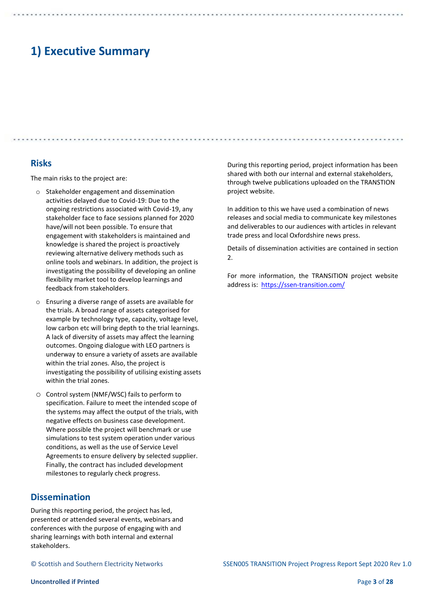# **1) Executive Summary**

### **Risks**

The main risks to the project are:

- o Stakeholder engagement and dissemination activities delayed due to Covid-19: Due to the ongoing restrictions associated with Covid-19, any stakeholder face to face sessions planned for 2020 have/will not been possible. To ensure that engagement with stakeholders is maintained and knowledge is shared the project is proactively reviewing alternative delivery methods such as online tools and webinars. In addition, the project is investigating the possibility of developing an online flexibility market tool to develop learnings and feedback from stakeholders.
- o Ensuring a diverse range of assets are available for the trials. A broad range of assets categorised for example by technology type, capacity, voltage level, low carbon etc will bring depth to the trial learnings. A lack of diversity of assets may affect the learning outcomes. Ongoing dialogue with LEO partners is underway to ensure a variety of assets are available within the trial zones. Also, the project is investigating the possibility of utilising existing assets within the trial zones.
- o Control system (NMF/WSC) fails to perform to specification. Failure to meet the intended scope of the systems may affect the output of the trials, with negative effects on business case development. Where possible the project will benchmark or use simulations to test system operation under various conditions, as well as the use of Service Level Agreements to ensure delivery by selected supplier. Finally, the contract has included development milestones to regularly check progress.

### **Dissemination**

During this reporting period, the project has led, presented or attended several events, webinars and conferences with the purpose of engaging with and sharing learnings with both internal and external stakeholders.

During this reporting period, project information has been shared with both our internal and external stakeholders, through twelve publications uploaded on the TRANSTION project website.

In addition to this we have used a combination of news releases and social media to communicate key milestones and deliverables to our audiences with articles in relevant trade press and local Oxfordshire news press.

Details of dissemination activities are contained in section  $\mathcal{L}$ 

For more information, the TRANSITION project website address is: <https://ssen-transition.com/>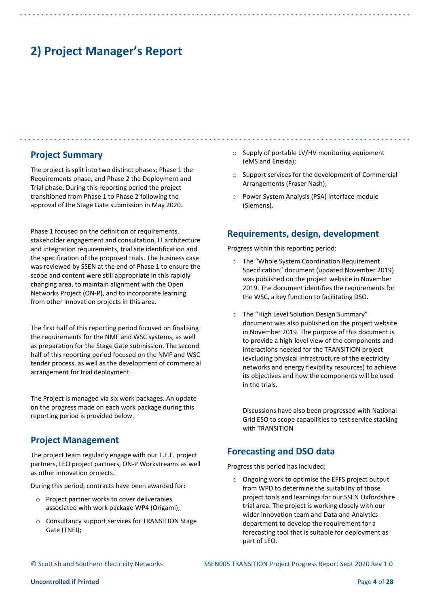### **Project Summary**

The project is split into two distinct phases; Phase 1 the Requirements phase, and Phase 2 the Deployment and Trial phase. During this reporting period the project transitioned from Phase 1 to Phase 2 following the approval of the Stage Gate submission in May 2020.

Phase 1 focused on the definition of requirements, stakeholder engagement and consultation, IT architecture and integration requirements, trial site identification and the specification of the proposed trials. The business case was reviewed by SSEN at the end of Phase 1 to ensure the scope and content were still appropriate in this rapidly changing area, to maintain alignment with the Open Networks Project (ON-P), and to incorporate learning from other innovation projects in this area.

The first half of this reporting period focused on finalising the requirements for the NMF and WSC systems, as well as preparation for the Stage Gate submission. The second half of this reporting period focused on the NMF and WSC tender process, as well as the development of commercial arrangement for trial deployment.

The Project is managed via six work packages. An update on the progress made on each work package during this reporting period is provided below.

### **Project Management**

The project team regularly engage with our T.E.F. project partners, LEO project partners, ON-P Workstreams as well as other innovation projects.

During this period, contracts have been awarded for:

- o Project partner works to cover deliverables associated with work package WP4 (Origami);
- o Consultancy support services for TRANSITION Stage Gate (TNEI);
- o Supply of portable LV/HV monitoring equipment (eMS and Eneida);
- o Support services for the development of Commercial Arrangements (Fraser Nash);
- o Power System Analysis (PSA) interface module (Siemens).

### **Requirements, design, development**

Progress within this reporting period:

- o The "Whole System Coordination Requirement Specification" document (updated November 2019) was published on the project website in November 2019. The document identifies the requirements for the WSC, a key function to facilitating DSO.
- o The "High Level Solution Design Summary" document was also published on the project website in November 2019. The purpose of this document is to provide a high-level view of the components and interactions needed for the TRANSITION project (excluding physical infrastructure of the electricity networks and energy flexibility resources) to achieve its objectives and how the components will be used in the trials.

Discussions have also been progressed with National Grid ESO to scope capabilities to test service stacking with TRANSITION

### **Forecasting and DSO data**

Progress this period has included;

o Ongoing work to optimise the EFFS project output from WPD to determine the suitability of those project tools and learnings for our SSEN Oxfordshire trial area. The project is working closely with our wider innovation team and Data and Analytics department to develop the requirement for a forecasting tool that is suitable for deployment as part of LEO.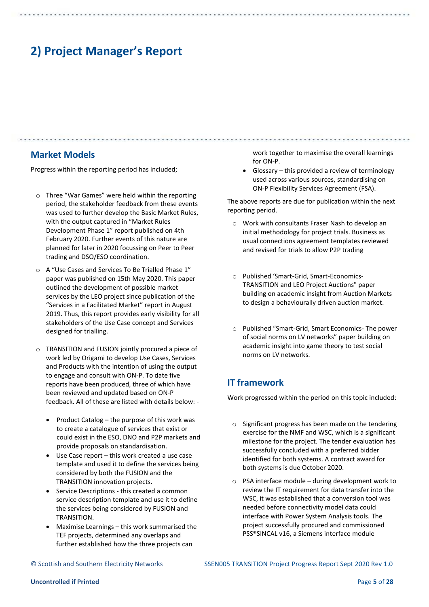### **Market Models**

Progress within the reporting period has included;

- o Three "War Games" were held within the reporting period, the stakeholder feedback from these events was used to further develop the Basic Market Rules, with the output captured in "Market Rules Development Phase 1" report published on 4th February 2020. Further events of this nature are planned for later in 2020 focussing on Peer to Peer trading and DSO/ESO coordination.
- o A "Use Cases and Services To Be Trialled Phase 1" paper was published on 15th May 2020. This paper outlined the development of possible market services by the LEO project since publication of the "Services in a Facilitated Market" report in August 2019. Thus, this report provides early visibility for all stakeholders of the Use Case concept and Services designed for trialling.
- o TRANSITION and FUSION jointly procured a piece of work led by Origami to develop Use Cases, Services and Products with the intention of using the output to engage and consult with ON-P. To date five reports have been produced, three of which have been reviewed and updated based on ON-P feedback. All of these are listed with details below: -
	- Product Catalog the purpose of this work was to create a catalogue of services that exist or could exist in the ESO, DNO and P2P markets and provide proposals on standardisation.
	- Use Case report this work created a use case template and used it to define the services being considered by both the FUSION and the TRANSITION innovation projects.
	- Service Descriptions this created a common service description template and use it to define the services being considered by FUSION and TRANSITION.
	- Maximise Learnings this work summarised the TEF projects, determined any overlaps and further established how the three projects can

work together to maximise the overall learnings for ON-P.

• Glossary – this provided a review of terminology used across various sources, standardising on ON-P Flexibility Services Agreement (FSA).

The above reports are due for publication within the next reporting period.

- o Work with consultants Fraser Nash to develop an initial methodology for project trials. Business as usual connections agreement templates reviewed and revised for trials to allow P2P trading
- o Published 'Smart-Grid, Smart-Economics-TRANSITION and LEO Project Auctions" paper building on academic insight from Auction Markets to design a behaviourally driven auction market.
- o Published "Smart-Grid, Smart Economics- The power of social norms on LV networks" paper building on academic insight into game theory to test social norms on LV networks.

## **IT framework**

Work progressed within the period on this topic included:

- o Significant progress has been made on the tendering exercise for the NMF and WSC, which is a significant milestone for the project. The tender evaluation has successfully concluded with a preferred bidder identified for both systems. A contract award for both systems is due October 2020.
- o PSA interface module during development work to review the IT requirement for data transfer into the WSC, it was established that a conversion tool was needed before connectivity model data could interface with Power System Analysis tools. The project successfully procured and commissioned PSS®SINCAL v16, a Siemens interface module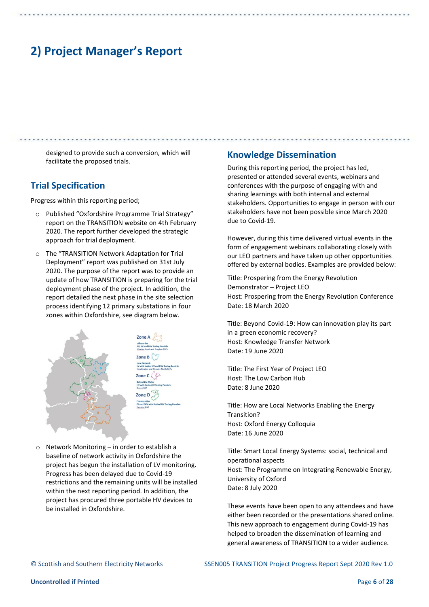designed to provide such a conversion, which will facilitate the proposed trials.

### **Trial Specification**

Progress within this reporting period;

- o Published "Oxfordshire Programme Trial Strategy" report on the TRANSITION website on 4th February 2020. The report further developed the strategic approach for trial deployment.
- o The "TRANSITION Network Adaptation for Trial Deployment" report was published on 31st July 2020. The purpose of the report was to provide an update of how TRANSITION is preparing for the trial deployment phase of the project. In addition, the report detailed the next phase in the site selection process identifying 12 primary substations in four zones within Oxfordshire, see diagram below.



o Network Monitoring – in order to establish a baseline of network activity in Oxfordshire the project has begun the installation of LV monitoring. Progress has been delayed due to Covid-19 restrictions and the remaining units will be installed within the next reporting period. In addition, the project has procured three portable HV devices to be installed in Oxfordshire.

### **Knowledge Dissemination**

During this reporting period, the project has led, presented or attended several events, webinars and conferences with the purpose of engaging with and sharing learnings with both internal and external stakeholders. Opportunities to engage in person with our stakeholders have not been possible since March 2020 due to Covid-19.

However, during this time delivered virtual events in the form of engagement webinars collaborating closely with our LEO partners and have taken up other opportunities offered by external bodies. Examples are provided below:

Title: Prospering from the Energy Revolution Demonstrator – Project LEO Host: Prospering from the Energy Revolution Conference Date: 18 March 2020

Title: Beyond Covid-19: How can innovation play its part in a green economic recovery? Host: Knowledge Transfer Network Date: 19 June 2020

Title: The First Year of Project LEO Host: The Low Carbon Hub Date: 8 June 2020

Title: How are Local Networks Enabling the Energy Transition? Host: Oxford Energy Colloquia Date: 16 June 2020

Title: Smart Local Energy Systems: social, technical and operational aspects Host: The Programme on Integrating Renewable Energy, University of Oxford Date: 8 July 2020

These events have been open to any attendees and have either been recorded or the presentations shared online. This new approach to engagement during Covid-19 has helped to broaden the dissemination of learning and general awareness of TRANSITION to a wider audience.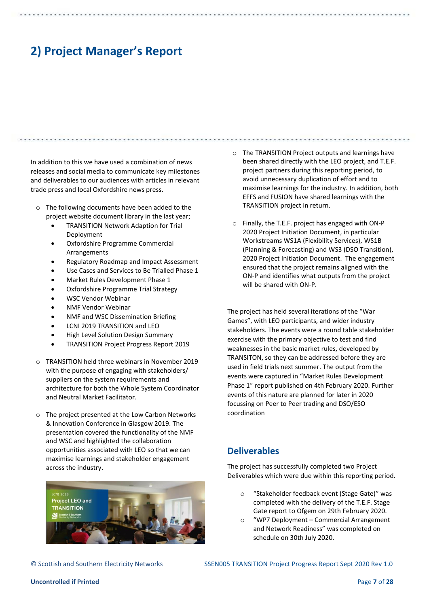In addition to this we have used a combination of news releases and social media to communicate key milestones and deliverables to our audiences with articles in relevant trade press and local Oxfordshire news press.

- o The following documents have been added to the project website document library in the last year;
	- TRANSITION Network Adaption for Trial Deployment
	- Oxfordshire Programme Commercial **Arrangements**
	- Regulatory Roadmap and Impact Assessment
	- Use Cases and Services to Be Trialled Phase 1
	- Market Rules Development Phase 1
	- Oxfordshire Programme Trial Strategy
	- WSC Vendor Webinar
	- NMF Vendor Webinar
	- NMF and WSC Dissemination Briefing
	- LCNI 2019 TRANSITION and LEO
	- High Level Solution Design Summary
	- TRANSITION Project Progress Report 2019
- o TRANSITION held three webinars in November 2019 with the purpose of engaging with stakeholders/ suppliers on the system requirements and architecture for both the Whole System Coordinator and Neutral Market Facilitator.
- o The project presented at the Low Carbon Networks & Innovation Conference in Glasgow 2019. The presentation covered the functionality of the NMF and WSC and highlighted the collaboration opportunities associated with LEO so that we can maximise learnings and stakeholder engagement across the industry.



- o The TRANSITION Project outputs and learnings have been shared directly with the LEO project, and T.E.F. project partners during this reporting period, to avoid unnecessary duplication of effort and to maximise learnings for the industry. In addition, both EFFS and FUSION have shared learnings with the TRANSITION project in return.
- o Finally, the T.E.F. project has engaged with ON-P 2020 Project Initiation Document, in particular Workstreams WS1A (Flexibility Services), WS1B (Planning & Forecasting) and WS3 (DSO Transition), 2020 Project Initiation Document. The engagement ensured that the project remains aligned with the ON-P and identifies what outputs from the project will be shared with ON-P.

The project has held several iterations of the "War Games", with LEO participants, and wider industry stakeholders. The events were a round table stakeholder exercise with the primary objective to test and find weaknesses in the basic market rules, developed by TRANSITON, so they can be addressed before they are used in field trials next summer. The output from the events were captured in "Market Rules Development Phase 1" report published on 4th February 2020. Further events of this nature are planned for later in 2020 focussing on Peer to Peer trading and DSO/ESO coordination

## **Deliverables**

The project has successfully completed two Project Deliverables which were due within this reporting period.

- "Stakeholder feedback event (Stage Gate)" was completed with the delivery of the T.E.F. Stage Gate report to Ofgem on 29th February 2020.
- "WP7 Deployment Commercial Arrangement and Network Readiness" was completed on schedule on 30th July 2020.

© Scottish and Southern Electricity Networks SSEN005 TRANSITION Project Progress Report Sept 2020 Rev 1.0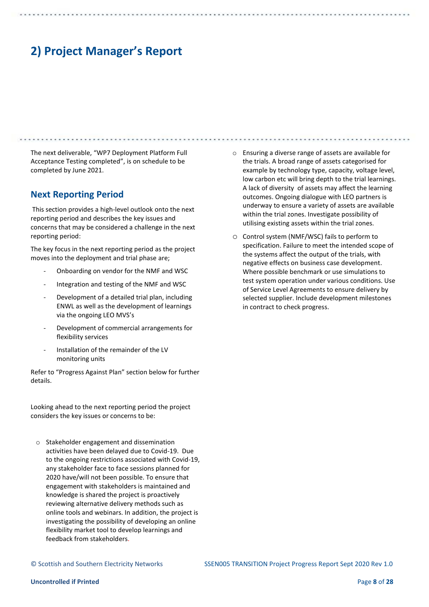The next deliverable, "WP7 Deployment Platform Full Acceptance Testing completed", is on schedule to be completed by June 2021.

### **Next Reporting Period**

This section provides a high-level outlook onto the next reporting period and describes the key issues and concerns that may be considered a challenge in the next reporting period:

The key focus in the next reporting period as the project moves into the deployment and trial phase are;

- Onboarding on vendor for the NMF and WSC
- Integration and testing of the NMF and WSC
- Development of a detailed trial plan, including ENWL as well as the development of learnings via the ongoing LEO MVS's
- Development of commercial arrangements for flexibility services
- Installation of the remainder of the LV monitoring units

Refer to "Progress Against Plan" section below for further details.

Looking ahead to the next reporting period the project considers the key issues or concerns to be:

o Stakeholder engagement and dissemination activities have been delayed due to Covid-19. Due to the ongoing restrictions associated with Covid-19, any stakeholder face to face sessions planned for 2020 have/will not been possible. To ensure that engagement with stakeholders is maintained and knowledge is shared the project is proactively reviewing alternative delivery methods such as online tools and webinars. In addition, the project is investigating the possibility of developing an online flexibility market tool to develop learnings and feedback from stakeholders.

- o Ensuring a diverse range of assets are available for the trials. A broad range of assets categorised for example by technology type, capacity, voltage level, low carbon etc will bring depth to the trial learnings. A lack of diversity of assets may affect the learning outcomes. Ongoing dialogue with LEO partners is underway to ensure a variety of assets are available within the trial zones. Investigate possibility of utilising existing assets within the trial zones.
- o Control system (NMF/WSC) fails to perform to specification. Failure to meet the intended scope of the systems affect the output of the trials, with negative effects on business case development. Where possible benchmark or use simulations to test system operation under various conditions. Use of Service Level Agreements to ensure delivery by selected supplier. Include development milestones in contract to check progress.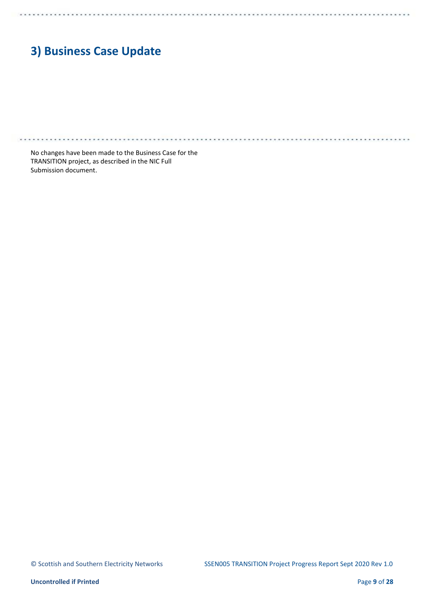# **3) Business Case Update**

. . . . . . . . .

No changes have been made to the Business Case for the TRANSITION project, as described in the NIC Full Submission document.

. . . . . . . . . . . . . .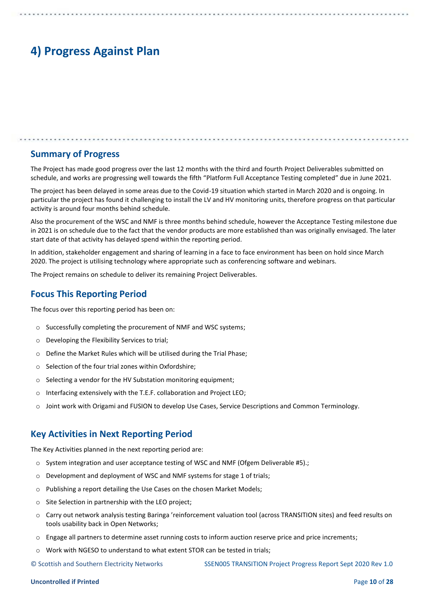# **4) Progress Against Plan**

### **Summary of Progress**

The Project has made good progress over the last 12 months with the third and fourth Project Deliverables submitted on schedule, and works are progressing well towards the fifth "Platform Full Acceptance Testing completed" due in June 2021.

The project has been delayed in some areas due to the Covid-19 situation which started in March 2020 and is ongoing. In particular the project has found it challenging to install the LV and HV monitoring units, therefore progress on that particular activity is around four months behind schedule.

Also the procurement of the WSC and NMF is three months behind schedule, however the Acceptance Testing milestone due in 2021 is on schedule due to the fact that the vendor products are more established than was originally envisaged. The later start date of that activity has delayed spend within the reporting period.

In addition, stakeholder engagement and sharing of learning in a face to face environment has been on hold since March 2020. The project is utilising technology where appropriate such as conferencing software and webinars.

The Project remains on schedule to deliver its remaining Project Deliverables.

### **Focus This Reporting Period**

The focus over this reporting period has been on:

- o Successfully completing the procurement of NMF and WSC systems;
- o Developing the Flexibility Services to trial;
- o Define the Market Rules which will be utilised during the Trial Phase;
- o Selection of the four trial zones within Oxfordshire;
- o Selecting a vendor for the HV Substation monitoring equipment;
- o Interfacing extensively with the T.E.F. collaboration and Project LEO;
- o Joint work with Origami and FUSION to develop Use Cases, Service Descriptions and Common Terminology.

### **Key Activities in Next Reporting Period**

The Key Activities planned in the next reporting period are:

- $\circ$  System integration and user acceptance testing of WSC and NMF (Ofgem Deliverable #5).;
- o Development and deployment of WSC and NMF systems for stage 1 of trials;
- o Publishing a report detailing the Use Cases on the chosen Market Models;
- o Site Selection in partnership with the LEO project;
- o Carry out network analysis testing Baringa 'reinforcement valuation tool (across TRANSITION sites) and feed results on tools usability back in Open Networks;
- o Engage all partners to determine asset running costs to inform auction reserve price and price increments;
- Work with NGESO to understand to what extent STOR can be tested in trials:

© Scottish and Southern Electricity Networks SSEN005 TRANSITION Project Progress Report Sept 2020 Rev 1.0

#### **Uncontrolled if Printed** Page **10** of **28**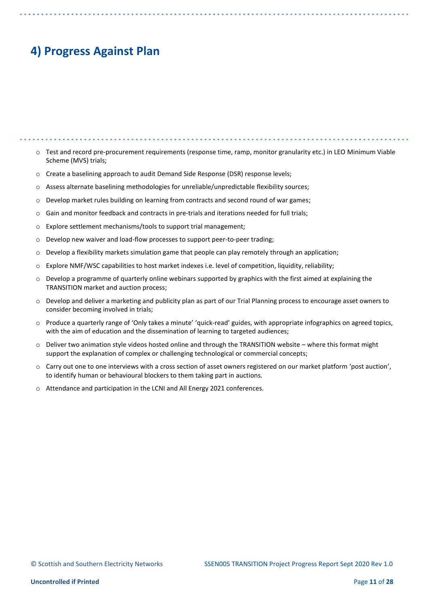# **4) Progress Against Plan**

o Test and record pre-procurement requirements (response time, ramp, monitor granularity etc.) in LEO Minimum Viable Scheme (MVS) trials;  $\circ$  Create a baselining approach to audit Demand Side Response (DSR) response levels;

- o Assess alternate baselining methodologies for unreliable/unpredictable flexibility sources;
- o Develop market rules building on learning from contracts and second round of war games;
- $\circ$  Gain and monitor feedback and contracts in pre-trials and iterations needed for full trials;
- o Explore settlement mechanisms/tools to support trial management;
- o Develop new waiver and load-flow processes to support peer-to-peer trading;
- $\circ$  Develop a flexibility markets simulation game that people can play remotely through an application;
- o Explore NMF/WSC capabilities to host market indexes i.e. level of competition, liquidity, reliability;
- $\circ$  Develop a programme of quarterly online webinars supported by graphics with the first aimed at explaining the TRANSITION market and auction process;
- $\circ$  Develop and deliver a marketing and publicity plan as part of our Trial Planning process to encourage asset owners to consider becoming involved in trials;
- o Produce a quarterly range of 'Only takes a minute' 'quick-read' guides, with appropriate infographics on agreed topics, with the aim of education and the dissemination of learning to targeted audiences;
- o Deliver two animation style videos hosted online and through the TRANSITION website where this format might support the explanation of complex or challenging technological or commercial concepts;
- o Carry out one to one interviews with a cross section of asset owners registered on our market platform 'post auction', to identify human or behavioural blockers to them taking part in auctions.
- o Attendance and participation in the LCNI and All Energy 2021 conferences.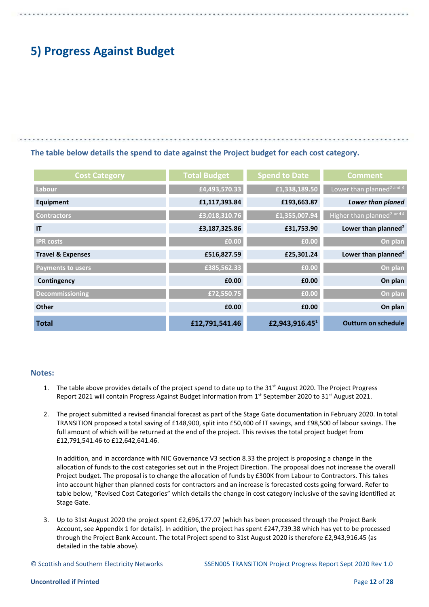# **5) Progress Against Budget**

### **The table below details the spend to date against the Project budget for each cost category.**

| <b>Cost Category</b>         | <b>Total Budget</b> | <b>Spend to Date</b>       | <b>Comment</b>                         |
|------------------------------|---------------------|----------------------------|----------------------------------------|
| Labour                       | £4,493,570.33       | £1,338,189.50              | Lower than planned <sup>2</sup> and 4  |
| Equipment                    | £1,117,393.84       | £193,663.87                | Lower than planed                      |
| <b>Contractors</b>           | £3,018,310.76       | £1,355,007.94              | Higher than planned <sup>2</sup> and 4 |
| IT                           | £3,187,325.86       | £31,753.90                 | Lower than planned <sup>2</sup>        |
| <b>IPR</b> costs             | £0.00               | £0.00                      | On plan                                |
| <b>Travel &amp; Expenses</b> | £516,827.59         | £25,301.24                 | Lower than planned <sup>4</sup>        |
| <b>Payments to users</b>     | £385,562.33         | £0.00                      | On plan                                |
| Contingency                  | £0.00               | £0.00                      | On plan                                |
| Decommissioning              | £72,550.75          | £0.00                      | On plan                                |
| <b>Other</b>                 | £0.00               | £0.00                      | On plan                                |
| <b>Total</b>                 | £12,791,541.46      | £2,943,916.45 <sup>1</sup> | <b>Outturn on schedule</b>             |

### **Notes:**

- 1. The table above provides details of the project spend to date up to the  $31<sup>st</sup>$  August 2020. The Project Progress Report 2021 will contain Progress Against Budget information from 1<sup>st</sup> September 2020 to 31<sup>st</sup> August 2021.
- 2. The project submitted a revised financial forecast as part of the Stage Gate documentation in February 2020. In total TRANSITION proposed a total saving of £148,900, split into £50,400 of IT savings, and £98,500 of labour savings. The full amount of which will be returned at the end of the project. This revises the total project budget from £12,791,541.46 to £12,642,641.46.

In addition, and in accordance with NIC Governance V3 section 8.33 the project is proposing a change in the allocation of funds to the cost categories set out in the Project Direction. The proposal does not increase the overall Project budget. The proposal is to change the allocation of funds by £300K from Labour to Contractors. This takes into account higher than planned costs for contractors and an increase is forecasted costs going forward. Refer to table below, "Revised Cost Categories" which details the change in cost category inclusive of the saving identified at Stage Gate.

3. Up to 31st August 2020 the project spent £2,696,177.07 (which has been processed through the Project Bank Account, see Appendix 1 for details). In addition, the project has spent £247,739.38 which has yet to be processed through the Project Bank Account. The total Project spend to 31st August 2020 is therefore £2,943,916.45 (as detailed in the table above).

© Scottish and Southern Electricity Networks SSEN005 TRANSITION Project Progress Report Sept 2020 Rev 1.0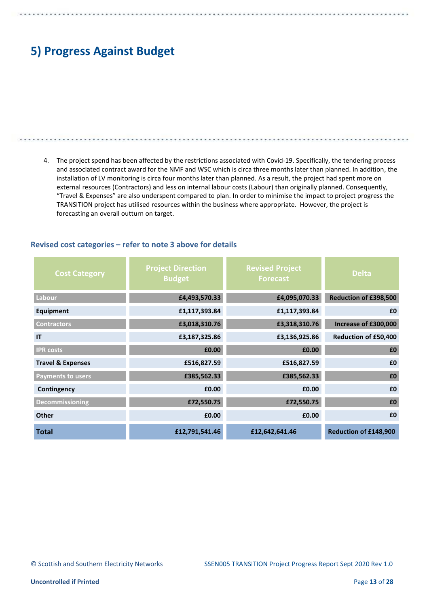# **5) Progress Against Budget**

4. The project spend has been affected by the restrictions associated with Covid-19. Specifically, the tendering process and associated contract award for the NMF and WSC which is circa three months later than planned. In addition, the installation of LV monitoring is circa four months later than planned. As a result, the project had spent more on external resources (Contractors) and less on internal labour costs (Labour) than originally planned. Consequently, "Travel & Expenses" are also underspent compared to plan. In order to minimise the impact to project progress the TRANSITION project has utilised resources within the business where appropriate. However, the project is forecasting an overall outturn on target.

| <b>Cost Category</b>         | <b>Project Direction</b><br><b>Budget</b> | <b>Revised Project</b><br><b>Forecast</b> | <b>Delta</b>          |
|------------------------------|-------------------------------------------|-------------------------------------------|-----------------------|
| Labour                       | £4,493,570.33                             | £4,095,070.33                             | Reduction of £398,500 |
| Equipment                    | £1,117,393.84                             | £1,117,393.84                             | £0                    |
| <b>Contractors</b>           | £3,018,310.76                             | £3,318,310.76                             | Increase of £300,000  |
| IT                           | £3,187,325.86                             | £3,136,925.86                             | Reduction of £50,400  |
| <b>IPR</b> costs             | £0.00                                     | £0.00                                     | £0                    |
| <b>Travel &amp; Expenses</b> | £516,827.59                               | £516,827.59                               | £0                    |
| <b>Payments to users</b>     | £385,562.33                               | £385,562.33                               | £0                    |
| Contingency                  | £0.00                                     | £0.00                                     | £0                    |
| <b>Decommissioning</b>       | £72,550.75                                | £72,550.75                                | £0                    |
| <b>Other</b>                 | £0.00                                     | £0.00                                     | £0                    |
| <b>Total</b>                 | £12,791,541.46                            | £12,642,641.46                            | Reduction of £148,900 |

### **Revised cost categories – refer to note 3 above for details**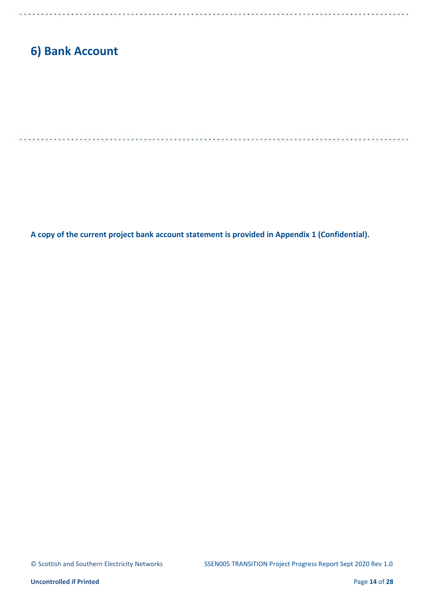# **6) Bank Account**

**A copy of the current project bank account statement is provided in Appendix 1 (Confidential).**

 $. . . .$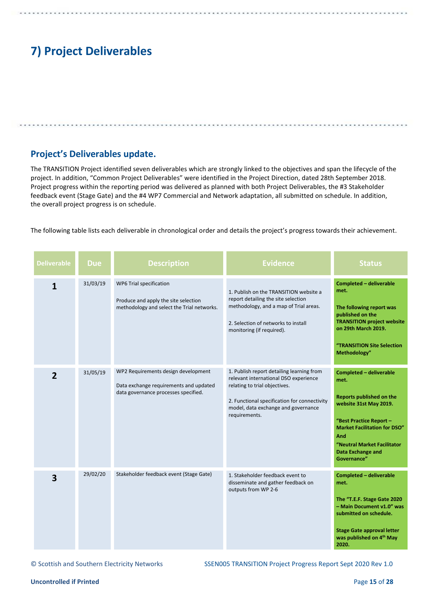# **7) Project Deliverables**

## **Project's Deliverables update.**

The TRANSITION Project identified seven deliverables which are strongly linked to the objectives and span the lifecycle of the project. In addition, "Common Project Deliverables" were identified in the Project Direction, dated 28th September 2018. Project progress within the reporting period was delivered as planned with both Project Deliverables, the #3 Stakeholder feedback event (Stage Gate) and the #4 WP7 Commercial and Network adaptation, all submitted on schedule. In addition, the overall project progress is on schedule.

The following table lists each deliverable in chronological order and details the project's progress towards their achievement.

| <b>Deliverable</b> | <b>Due</b> | <b>Description</b>                                                                                                    | <b>Evidence</b>                                                                                                                                                                                                             | <b>Status</b>                                                                                                                                                                                                                            |
|--------------------|------------|-----------------------------------------------------------------------------------------------------------------------|-----------------------------------------------------------------------------------------------------------------------------------------------------------------------------------------------------------------------------|------------------------------------------------------------------------------------------------------------------------------------------------------------------------------------------------------------------------------------------|
| 1                  | 31/03/19   | WP6 Trial specification<br>Produce and apply the site selection<br>methodology and select the Trial networks.         | 1. Publish on the TRANSITION website a<br>report detailing the site selection<br>methodology, and a map of Trial areas.<br>2. Selection of networks to install<br>monitoring (if required).                                 | <b>Completed - deliverable</b><br>met.<br>The following report was<br>published on the<br><b>TRANSITION project website</b><br>on 29th March 2019.<br>"TRANSITION Site Selection<br>Methodology"                                         |
| $\overline{2}$     | 31/05/19   | WP2 Requirements design development<br>Data exchange requirements and updated<br>data governance processes specified. | 1. Publish report detailing learning from<br>relevant international DSO experience<br>relating to trial objectives.<br>2. Functional specification for connectivity<br>model, data exchange and governance<br>requirements. | Completed - deliverable<br>met.<br>Reports published on the<br>website 31st May 2019.<br>"Best Practice Report -<br><b>Market Facilitation for DSO"</b><br>And<br>"Neutral Market Facilitator<br><b>Data Exchange and</b><br>Governance" |
| 3                  | 29/02/20   | Stakeholder feedback event (Stage Gate)                                                                               | 1. Stakeholder feedback event to<br>disseminate and gather feedback on<br>outputs from WP 2-6                                                                                                                               | <b>Completed - deliverable</b><br>met.<br>The "T.E.F. Stage Gate 2020<br>- Main Document v1.0" was<br>submitted on schedule.<br><b>Stage Gate approval letter</b><br>was published on 4th May<br>2020.                                   |

© Scottish and Southern Electricity Networks SSEN005 TRANSITION Project Progress Report Sept 2020 Rev 1.0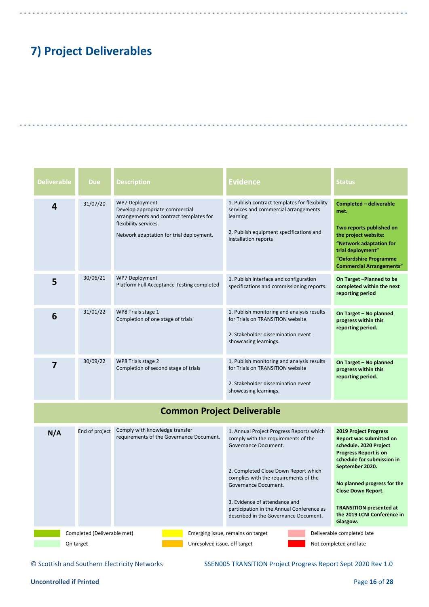# **7) Project Deliverables**

| <b>Deliverable</b> | <b>Due</b> | <b>Description</b>                                                                                                                                                      | <b>Evidence</b>                                                                                                                                                      | <b>Status</b>                                                                                                                                                                                           |
|--------------------|------------|-------------------------------------------------------------------------------------------------------------------------------------------------------------------------|----------------------------------------------------------------------------------------------------------------------------------------------------------------------|---------------------------------------------------------------------------------------------------------------------------------------------------------------------------------------------------------|
| 4                  | 31/07/20   | <b>WP7 Deployment</b><br>Develop appropriate commercial<br>arrangements and contract templates for<br>flexibility services.<br>Network adaptation for trial deployment. | 1. Publish contract templates for flexibility<br>services and commercial arrangements<br>learning<br>2. Publish equipment specifications and<br>installation reports | <b>Completed - deliverable</b><br>met.<br>Two reports published on<br>the project website:<br>"Network adaptation for<br>trial deployment"<br>"Oxfordshire Programme<br><b>Commercial Arrangements"</b> |
| 5                  | 30/06/21   | <b>WP7 Deployment</b><br>Platform Full Acceptance Testing completed                                                                                                     | 1. Publish interface and configuration<br>specifications and commissioning reports.                                                                                  | On Target-Planned to be<br>completed within the next<br>reporting period                                                                                                                                |
| 6                  | 31/01/22   | WP8 Trials stage 1<br>Completion of one stage of trials                                                                                                                 | 1. Publish monitoring and analysis results<br>for Trials on TRANSITION website.<br>2. Stakeholder dissemination event<br>showcasing learnings.                       | On Target - No planned<br>progress within this<br>reporting period.                                                                                                                                     |
| 7                  | 30/09/22   | WP8 Trials stage 2<br>Completion of second stage of trials                                                                                                              | 1. Publish monitoring and analysis results<br>for Trials on TRANSITION website<br>2. Stakeholder dissemination event<br>showcasing learnings.                        | On Target - No planned<br>progress within this<br>reporting period.                                                                                                                                     |

## **Common Project Deliverable**



© Scottish and Southern Electricity Networks SSEN005 TRANSITION Project Progress Report Sept 2020 Rev 1.0

### **Uncontrolled if Printed Page 16** of **28**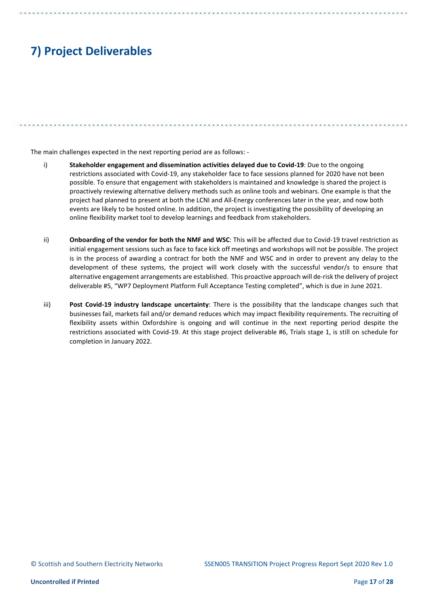# **7) Project Deliverables**

The main challenges expected in the next reporting period are as follows: -

- i) **Stakeholder engagement and dissemination activities delayed due to Covid-19**: Due to the ongoing restrictions associated with Covid-19, any stakeholder face to face sessions planned for 2020 have not been possible. To ensure that engagement with stakeholders is maintained and knowledge is shared the project is proactively reviewing alternative delivery methods such as online tools and webinars. One example is that the project had planned to present at both the LCNI and All-Energy conferences later in the year, and now both events are likely to be hosted online. In addition, the project is investigating the possibility of developing an online flexibility market tool to develop learnings and feedback from stakeholders.
- ii) **Onboarding of the vendor for both the NMF and WSC**: This will be affected due to Covid-19 travel restriction as initial engagement sessions such as face to face kick off meetings and workshops will not be possible. The project is in the process of awarding a contract for both the NMF and WSC and in order to prevent any delay to the development of these systems, the project will work closely with the successful vendor/s to ensure that alternative engagement arrangements are established. This proactive approach will de-risk the delivery of project deliverable #5, "WP7 Deployment Platform Full Acceptance Testing completed", which is due in June 2021.
- iii) **Post Covid-19 industry landscape uncertainty**: There is the possibility that the landscape changes such that businesses fail, markets fail and/or demand reduces which may impact flexibility requirements. The recruiting of flexibility assets within Oxfordshire is ongoing and will continue in the next reporting period despite the restrictions associated with Covid-19. At this stage project deliverable #6, Trials stage 1, is still on schedule for completion in January 2022.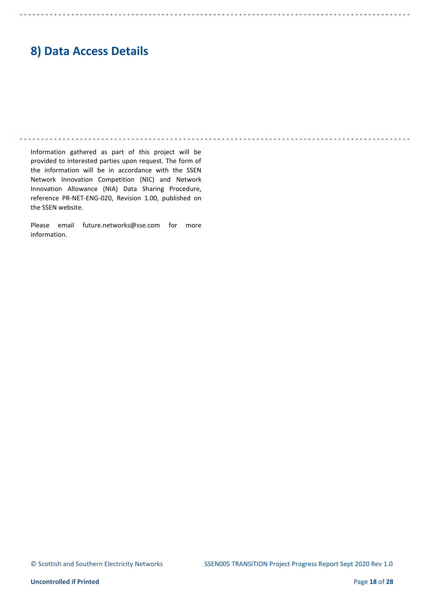## **8) Data Access Details**

Information gathered as part of this project will be provided to interested parties upon request. The form of the information will be in accordance with the SSEN Network Innovation Competition (NIC) and Network Innovation Allowance (NIA) Data Sharing Procedure, reference PR-NET-ENG-020, Revision 1.00, published on the SSEN website.

Please email future.networks@sse.com for more information.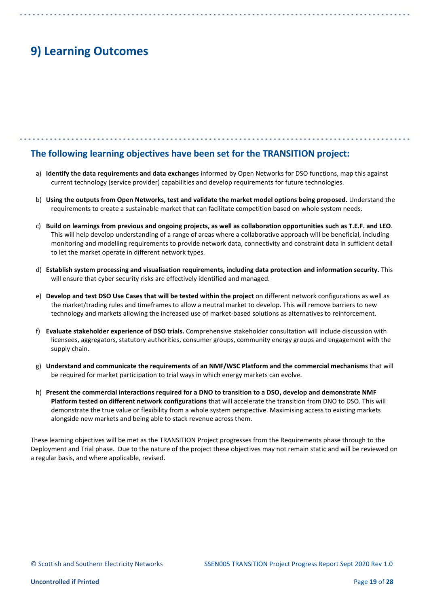## **The following learning objectives have been set for the TRANSITION project:**

- a) **Identify the data requirements and data exchanges** informed by Open Networks for DSO functions, map this against current technology (service provider) capabilities and develop requirements for future technologies.
- b) **Using the outputs from Open Networks, test and validate the market model options being proposed.** Understand the requirements to create a sustainable market that can facilitate competition based on whole system needs.
- c) **Build on learnings from previous and ongoing projects, as well as collaboration opportunities such as T.E.F. and LEO**. This will help develop understanding of a range of areas where a collaborative approach will be beneficial, including monitoring and modelling requirements to provide network data, connectivity and constraint data in sufficient detail to let the market operate in different network types.
- d) **Establish system processing and visualisation requirements, including data protection and information security.** This will ensure that cyber security risks are effectively identified and managed.
- e) **Develop and test DSO Use Cases that will be tested within the project** on different network configurations as well as the market/trading rules and timeframes to allow a neutral market to develop. This will remove barriers to new technology and markets allowing the increased use of market-based solutions as alternatives to reinforcement.
- f) **Evaluate stakeholder experience of DSO trials.** Comprehensive stakeholder consultation will include discussion with licensees, aggregators, statutory authorities, consumer groups, community energy groups and engagement with the supply chain.
- g) **Understand and communicate the requirements of an NMF/WSC Platform and the commercial mechanisms** that will be required for market participation to trial ways in which energy markets can evolve.
- h) **Present the commercial interactions required for a DNO to transition to a DSO, develop and demonstrate NMF Platform tested on different network configurations** that will accelerate the transition from DNO to DSO. This will demonstrate the true value or flexibility from a whole system perspective. Maximising access to existing markets alongside new markets and being able to stack revenue across them.

These learning objectives will be met as the TRANSITION Project progresses from the Requirements phase through to the Deployment and Trial phase. Due to the nature of the project these objectives may not remain static and will be reviewed on a regular basis, and where applicable, revised.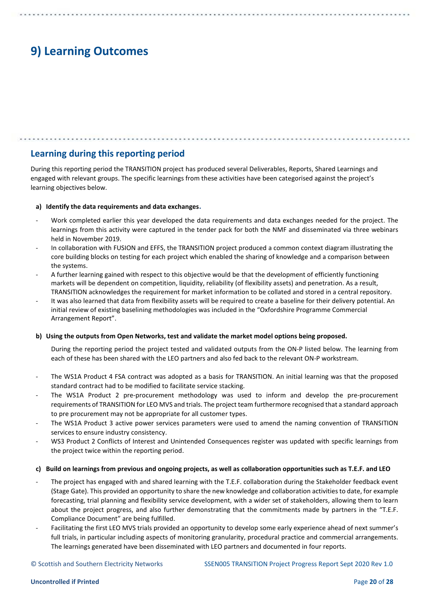## **Learning during this reporting period**

During this reporting period the TRANSITION project has produced several Deliverables, Reports, Shared Learnings and engaged with relevant groups. The specific learnings from these activities have been categorised against the project's learning objectives below.

### **a) Identify the data requirements and data exchanges.**

- Work completed earlier this year developed the data requirements and data exchanges needed for the project. The learnings from this activity were captured in the tender pack for both the NMF and disseminated via three webinars held in November 2019.
- In collaboration with FUSION and EFFS, the TRANSITION project produced a common context diagram illustrating the core building blocks on testing for each project which enabled the sharing of knowledge and a comparison between the systems.
- A further learning gained with respect to this objective would be that the development of efficiently functioning markets will be dependent on competition, liquidity, reliability (of flexibility assets) and penetration. As a result, TRANSITION acknowledges the requirement for market information to be collated and stored in a central repository.
- It was also learned that data from flexibility assets will be required to create a baseline for their delivery potential. An initial review of existing baselining methodologies was included in the "Oxfordshire Programme Commercial Arrangement Report".

### **b) Using the outputs from Open Networks, test and validate the market model options being proposed.**

During the reporting period the project tested and validated outputs from the ON-P listed below. The learning from each of these has been shared with the LEO partners and also fed back to the relevant ON-P workstream.

- The WS1A Product 4 FSA contract was adopted as a basis for TRANSITION. An initial learning was that the proposed standard contract had to be modified to facilitate service stacking.
- The WS1A Product 2 pre-procurement methodology was used to inform and develop the pre-procurement requirements of TRANSITION for LEO MVS and trials. The project team furthermore recognised that a standard approach to pre procurement may not be appropriate for all customer types.
- The WS1A Product 3 active power services parameters were used to amend the naming convention of TRANSITION services to ensure industry consistency.
- WS3 Product 2 Conflicts of Interest and Unintended Consequences register was updated with specific learnings from the project twice within the reporting period.

### **c) Build on learnings from previous and ongoing projects, as well as collaboration opportunities such as T.E.F. and LEO**

- The project has engaged with and shared learning with the T.E.F. collaboration during the Stakeholder feedback event (Stage Gate). This provided an opportunity to share the new knowledge and collaboration activities to date, for example forecasting, trial planning and flexibility service development, with a wider set of stakeholders, allowing them to learn about the project progress, and also further demonstrating that the commitments made by partners in the "T.E.F. Compliance Document" are being fulfilled.
- Facilitating the first LEO MVS trials provided an opportunity to develop some early experience ahead of next summer's full trials, in particular including aspects of monitoring granularity, procedural practice and commercial arrangements. The learnings generated have been disseminated with LEO partners and documented in four reports.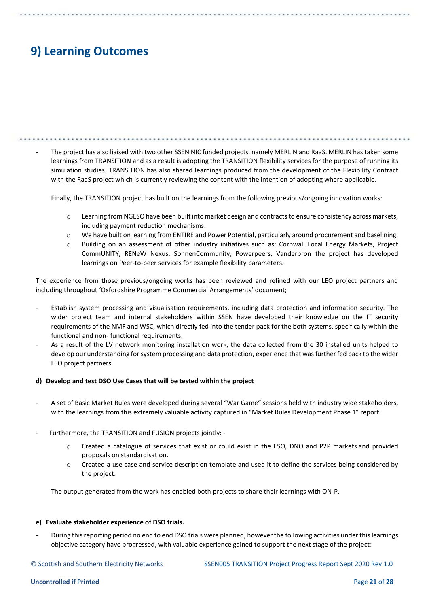The project has also liaised with two other SSEN NIC funded projects, namely MERLIN and RaaS. MERLIN has taken some learnings from TRANSITION and as a result is adopting the TRANSITION flexibility services for the purpose of running its simulation studies. TRANSITION has also shared learnings produced from the development of the Flexibility Contract with the RaaS project which is currently reviewing the content with the intention of adopting where applicable.

Finally, the TRANSITION project has built on the learnings from the following previous/ongoing innovation works:

- o Learning from NGESO have been built into market design and contracts to ensure consistency across markets, including payment reduction mechanisms.
- o We have built on learning from ENTIRE and Power Potential, particularly around procurement and baselining.
- o Building on an assessment of other industry initiatives such as: Cornwall Local Energy Markets, Project CommUNITY, RENeW Nexus, SonnenCommunity, Powerpeers, Vanderbron the project has developed learnings on Peer-to-peer services for example flexibility parameters.

The experience from those previous/ongoing works has been reviewed and refined with our LEO project partners and including throughout 'Oxfordshire Programme Commercial Arrangements' document;

- Establish system processing and visualisation requirements, including data protection and information security. The wider project team and internal stakeholders within SSEN have developed their knowledge on the IT security requirements of the NMF and WSC, which directly fed into the tender pack for the both systems, specifically within the functional and non- functional requirements.
- As a result of the LV network monitoring installation work, the data collected from the 30 installed units helped to develop our understanding for system processing and data protection, experience that was further fed back to the wider LEO project partners.

#### **d) Develop and test DSO Use Cases that will be tested within the project**

- A set of Basic Market Rules were developed during several "War Game" sessions held with industry wide stakeholders, with the learnings from this extremely valuable activity captured in "Market Rules Development Phase 1" report.
- Furthermore, the TRANSITION and FUSION projects jointly:
	- o Created a catalogue of services that exist or could exist in the ESO, DNO and P2P markets and provided proposals on standardisation.
	- o Created a use case and service description template and used it to define the services being considered by the project.

The output generated from the work has enabled both projects to share their learnings with ON-P.

#### **e) Evaluate stakeholder experience of DSO trials.**

During this reporting period no end to end DSO trials were planned; however the following activities under this learnings objective category have progressed, with valuable experience gained to support the next stage of the project:

© Scottish and Southern Electricity Networks SSEN005 TRANSITION Project Progress Report Sept 2020 Rev 1.0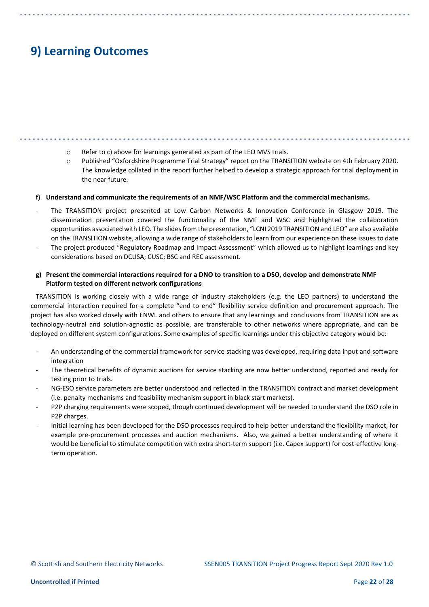- o Refer to c) above for learnings generated as part of the LEO MVS trials.
- o Published "Oxfordshire Programme Trial Strategy" report on the TRANSITION website on 4th February 2020. The knowledge collated in the report further helped to develop a strategic approach for trial deployment in the near future.

#### **f) Understand and communicate the requirements of an NMF/WSC Platform and the commercial mechanisms.**

- The TRANSITION project presented at Low Carbon Networks & Innovation Conference in Glasgow 2019. The dissemination presentation covered the functionality of the NMF and WSC and highlighted the collaboration opportunities associated with LEO. The slides from the presentation, "LCNI 2019 TRANSITION and LEO" are also available on the TRANSITION website, allowing a wide range of stakeholders to learn from our experience on these issues to date
- The project produced "Regulatory Roadmap and Impact Assessment" which allowed us to highlight learnings and key considerations based on DCUSA; CUSC; BSC and REC assessment.

### **g) Present the commercial interactions required for a DNO to transition to a DSO, develop and demonstrate NMF Platform tested on different network configurations**

TRANSITION is working closely with a wide range of industry stakeholders (e.g. the LEO partners) to understand the commercial interaction required for a complete "end to end" flexibility service definition and procurement approach. The project has also worked closely with ENWL and others to ensure that any learnings and conclusions from TRANSITION are as technology-neutral and solution-agnostic as possible, are transferable to other networks where appropriate, and can be deployed on different system configurations. Some examples of specific learnings under this objective category would be:

- An understanding of the commercial framework for service stacking was developed, requiring data input and software integration
- The theoretical benefits of dynamic auctions for service stacking are now better understood, reported and ready for testing prior to trials.
- NG-ESO service parameters are better understood and reflected in the TRANSITION contract and market development (i.e. penalty mechanisms and feasibility mechanism support in black start markets).
- P2P charging requirements were scoped, though continued development will be needed to understand the DSO role in P2P charges.
- Initial learning has been developed for the DSO processes required to help better understand the flexibility market, for example pre-procurement processes and auction mechanisms. Also, we gained a better understanding of where it would be beneficial to stimulate competition with extra short-term support (i.e. Capex support) for cost-effective longterm operation.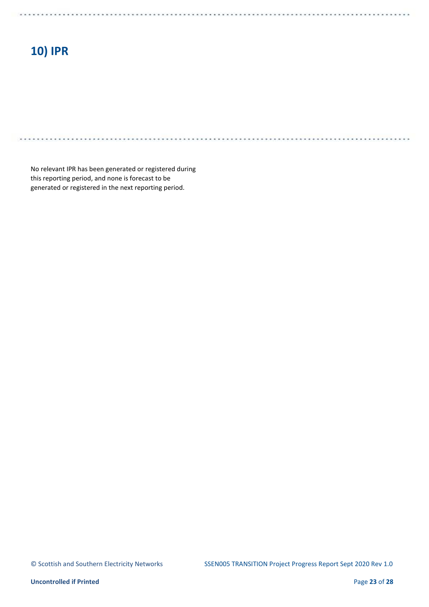# **10) IPR**

. . . . . . .

No relevant IPR has been generated or registered during this reporting period, and none is forecast to be generated or registered in the next reporting period.

. . . . .

*<u>CALLAND</u>* 

. . . . . . . .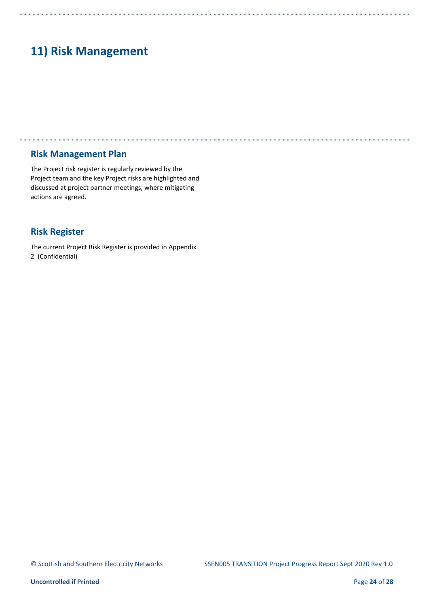# **11) Risk Management**

. . . . . . . . . . . .

### **Risk Management Plan**

The Project risk register is regularly reviewed by the Project team and the key Project risks are highlighted and discussed at project partner meetings, where mitigating actions are agreed.

. . . . . . . . . . . .

## **Risk Register**

The current Project Risk Register is provided in Appendix 2 (Confidential)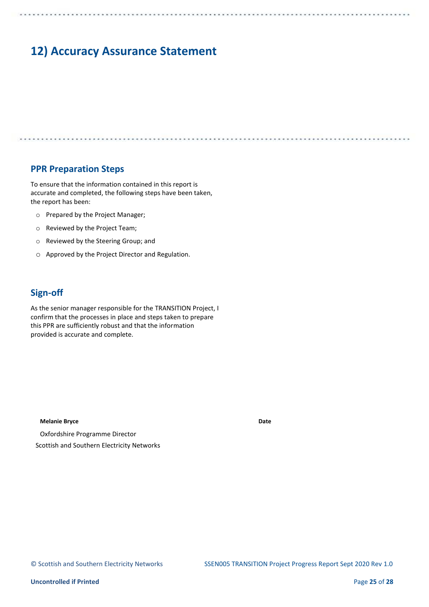## **12) Accuracy Assurance Statement**

### **PPR Preparation Steps**

To ensure that the information contained in this report is accurate and completed, the following steps have been taken, the report has been:

- o Prepared by the Project Manager;
- o Reviewed by the Project Team;
- o Reviewed by the Steering Group; and
- o Approved by the Project Director and Regulation.

## **Sign-off**

As the senior manager responsible for the TRANSITION Project, I confirm that the processes in place and steps taken to prepare this PPR are sufficiently robust and that the information provided is accurate and complete.

#### **Melanie Bryce**

Oxfordshire Programme Director Scottish and Southern Electricity Networks **Date** 

\*\*\*\*\*\*\*\*\*\*\*\*\*\*\*\*\*\*\*\*\*\*\*\*\*\*\*\*\*\*\*\*\*\*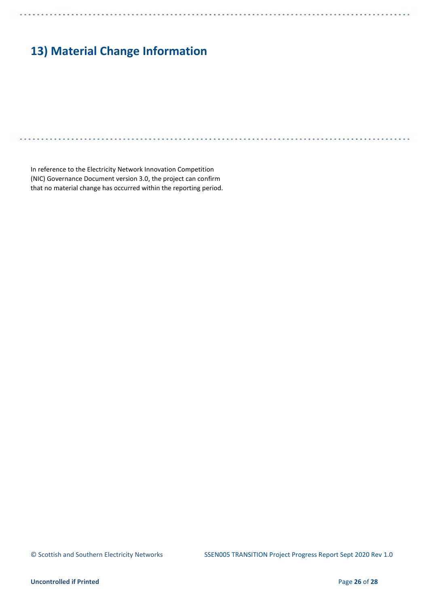# **13) Material Change Information**

In reference to the Electricity Network Innovation Competition (NIC) Governance Document version 3.0, the project can confirm that no material change has occurred within the reporting period.

**ALC** 

M.A.

 $1.1.1.1.1$ 

 $\cdots$ 

. . . . . . . . . . . . . .

. . . . . . . . . . . .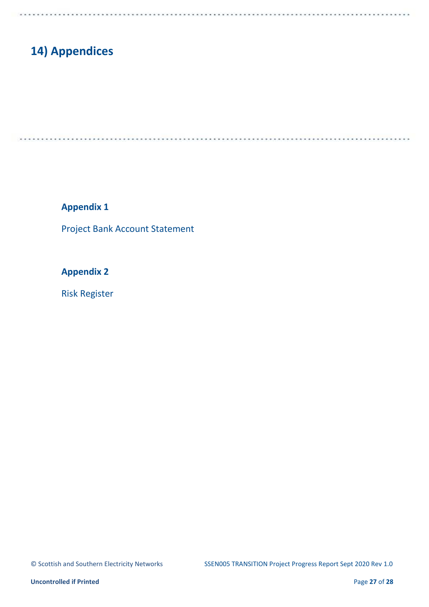## **14) Appendices**

. . . . . . . .

. . . . . .

**Appendix 1** 

Project Bank Account Statement

**Appendix 2** 

Risk Register